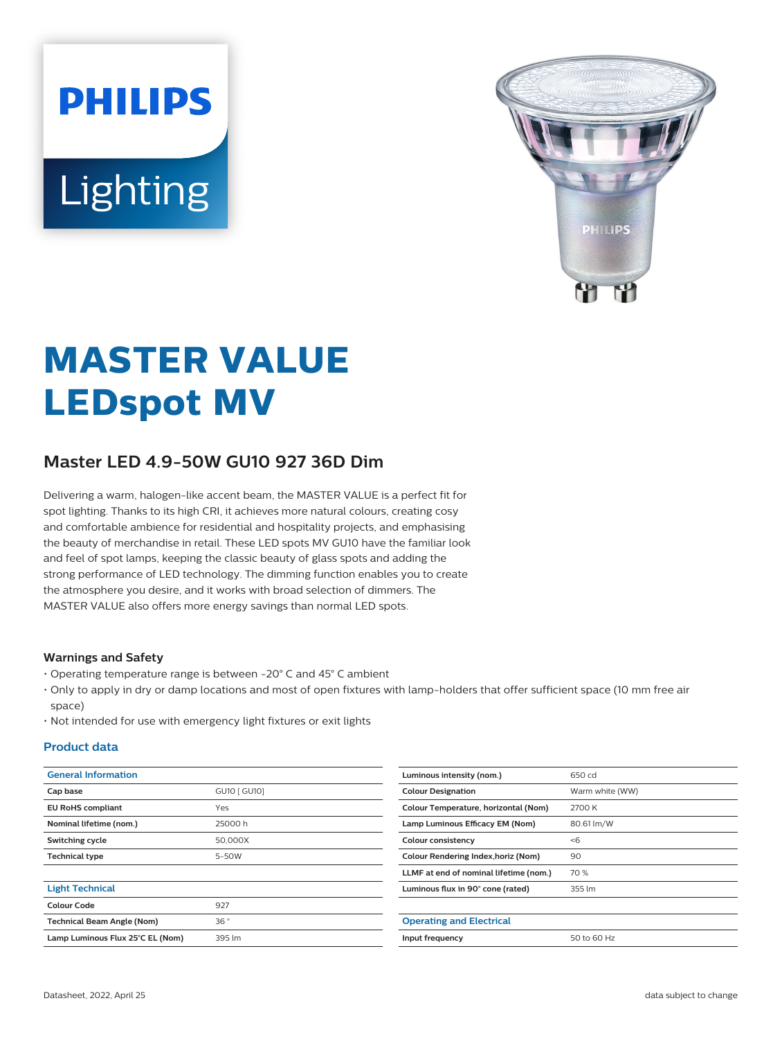# **PHILIPS** Lighting



# **MASTER VALUE LEDspot MV**

# **Master LED 4.9-50W GU10 927 36D Dim**

Delivering a warm, halogen-like accent beam, the MASTER VALUE is a perfect fit for spot lighting. Thanks to its high CRI, it achieves more natural colours, creating cosy and comfortable ambience for residential and hospitality projects, and emphasising the beauty of merchandise in retail. These LED spots MV GU10 have the familiar look and feel of spot lamps, keeping the classic beauty of glass spots and adding the strong performance of LED technology. The dimming function enables you to create the atmosphere you desire, and it works with broad selection of dimmers. The MASTER VALUE also offers more energy savings than normal LED spots.

#### **Warnings and Safety**

- Operating temperature range is between -20° C and 45° C ambient
- Only to apply in dry or damp locations and most of open fixtures with lamp-holders that offer sufficient space (10 mm free air space)
- Not intended for use with emergency light fixtures or exit lights

#### **Product data**

| <b>General Information</b>        |              | Luminous intensity (nom.)              | 650 cd          |
|-----------------------------------|--------------|----------------------------------------|-----------------|
| Cap base                          | GU10 [ GU10] | <b>Colour Designation</b>              | Warm white (WW) |
| <b>EU RoHS compliant</b>          | Yes          | Colour Temperature, horizontal (Nom)   | 2700 K          |
| Nominal lifetime (nom.)           | 25000h       | Lamp Luminous Efficacy EM (Nom)        | 80.61 lm/W      |
| Switching cycle                   | 50,000X      | Colour consistency                     | < 6             |
| <b>Technical type</b>             | 5-50W        | Colour Rendering Index, horiz (Nom)    | 90              |
|                                   |              | LLMF at end of nominal lifetime (nom.) | 70 %            |
| <b>Light Technical</b>            |              | Luminous flux in 90° cone (rated)      | 355 lm          |
| <b>Colour Code</b>                | 927          |                                        |                 |
| <b>Technical Beam Angle (Nom)</b> | 36°          | <b>Operating and Electrical</b>        |                 |
| Lamp Luminous Flux 25°C EL (Nom)  | 395 lm       | Input frequency                        | 50 to 60 Hz     |
|                                   |              |                                        |                 |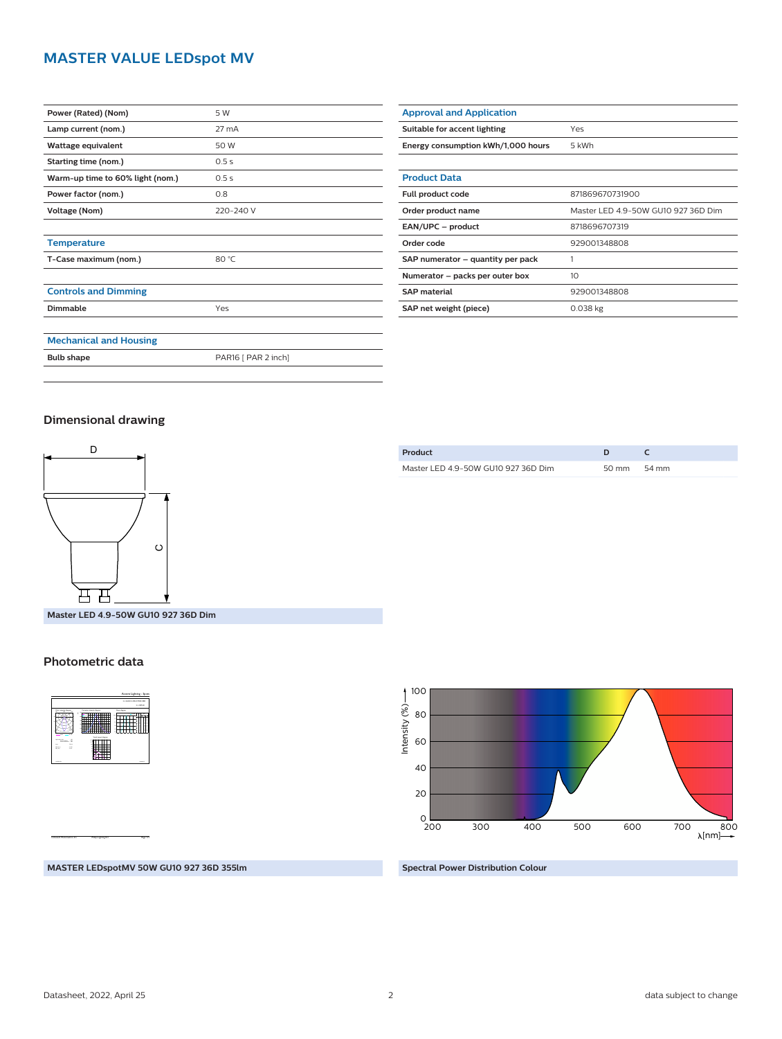# **MASTER VALUE LEDspot MV**

| Power (Rated) (Nom)              | 5 W                 |
|----------------------------------|---------------------|
| Lamp current (nom.)              | 27 mA               |
| Wattage equivalent               | 50 W                |
| Starting time (nom.)             | 0.5s                |
| Warm-up time to 60% light (nom.) | 0.5s                |
| Power factor (nom.)              | 0.8                 |
| Voltage (Nom)                    | 220-240 V           |
|                                  |                     |
| <b>Temperature</b>               |                     |
| T-Case maximum (nom.)            | 80 °C               |
|                                  |                     |
| <b>Controls and Dimming</b>      |                     |
| <b>Dimmable</b>                  | Yes                 |
|                                  |                     |
| <b>Mechanical and Housing</b>    |                     |
| <b>Bulb shape</b>                | PAR16 [ PAR 2 inch] |

| <b>Approval and Application</b>    |                                     |
|------------------------------------|-------------------------------------|
| Suitable for accent lighting       | Yes                                 |
| Energy consumption kWh/1,000 hours | 5 kWh                               |
|                                    |                                     |
| <b>Product Data</b>                |                                     |
| Full product code                  | 871869670731900                     |
| Order product name                 | Master LED 4.9-50W GU10 927 36D Dim |
| EAN/UPC - product                  | 8718696707319                       |
| Order code                         | 929001348808                        |
| SAP numerator - quantity per pack  |                                     |
| Numerator – packs per outer box    | 10                                  |
| <b>SAP</b> material                | 929001348808                        |
| SAP net weight (piece)             | $0.038$ kg                          |

## **Dimensional drawing**



**Master LED 4.9-50W GU10 927 36D Dim**

#### **Photometric data**



CalcuLuX Photometrics 4.5 Philips Lighting B.V. Page: 1/1

**Product D C** Master LED 4.9-50W GU10 927 36D Dim 50 mm 54 mm



**MASTER LEDspotMV 50W GU10 927 36D 355lm**

**Spectral Power Distribution Colour**